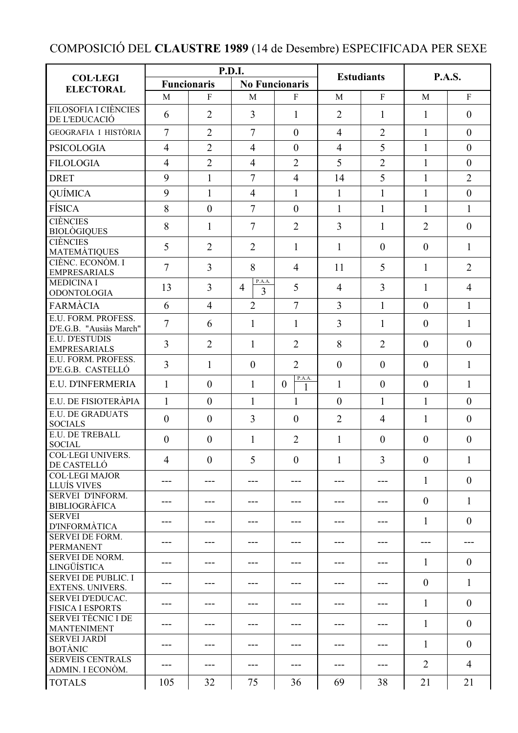## COMPOSICIÓ DEL **CLAUSTRE 1989** (14 de Desembre) ESPECIFICADA PER SEXE

|                                                       | P.D.I.             |                |                               |                          | <b>Estudiants</b> |                  | <b>P.A.S.</b>    |                |
|-------------------------------------------------------|--------------------|----------------|-------------------------------|--------------------------|-------------------|------------------|------------------|----------------|
| <b>COL·LEGI</b><br><b>ELECTORAL</b>                   | <b>Funcionaris</b> |                | <b>No Funcionaris</b>         |                          |                   |                  |                  |                |
|                                                       | M                  | $\mathbf{F}$   | M                             | $\mathbf{F}$             | M                 | F                | M                | $\mathbf{F}$   |
| <b>FILOSOFIA I CIÈNCIES</b><br>DE L'EDUCACIÓ          | 6                  | $\overline{2}$ | $\overline{3}$                | $\mathbf{1}$             | $\overline{2}$    | 1                | $\mathbf{1}$     | $\theta$       |
| GEOGRAFIA I HISTÒRIA                                  | 7                  | $\overline{2}$ | $\overline{7}$                | $\overline{0}$           | $\overline{4}$    | $\overline{2}$   | $\mathbf{1}$     | $\theta$       |
| <b>PSICOLOGIA</b>                                     | 4                  | $\overline{2}$ | $\overline{4}$                | $\overline{0}$           | $\overline{4}$    | 5                | 1                | $\theta$       |
| <b>FILOLOGIA</b>                                      | 4                  | $\overline{2}$ | $\overline{4}$                | $\overline{2}$           | 5                 | $\overline{2}$   | $\mathbf{1}$     | $\mathbf{0}$   |
| <b>DRET</b>                                           | 9                  | $\mathbf{1}$   | $\overline{7}$                | $\overline{4}$           | 14                | 5                | $\mathbf{1}$     | $\overline{2}$ |
| QUÍMICA                                               | 9                  | $\mathbf{1}$   | $\overline{4}$                | $\mathbf{1}$             | $\mathbf{1}$      | $\mathbf{1}$     | $\mathbf{1}$     | $\overline{0}$ |
| <b>FÍSICA</b>                                         | 8                  | $\overline{0}$ | $\overline{7}$                | $\overline{0}$           | $\mathbf{1}$      | $\mathbf{1}$     | $\mathbf{1}$     | $\mathbf{1}$   |
| <b>CIÈNCIES</b><br><b>BIOLÒGIQUES</b>                 | 8                  | 1              | $\overline{7}$                | $\overline{2}$           | 3                 | 1                | $\overline{2}$   | $\theta$       |
| <b>CIÈNCIES</b><br><b>MATEMÀTIQUES</b>                | 5                  | $\overline{2}$ | $\overline{2}$                | 1                        | 1                 | $\overline{0}$   | $\theta$         | $\mathbf{1}$   |
| CIÈNC. ECONÒM. I<br><b>EMPRESARIALS</b>               | 7                  | $\overline{3}$ | 8                             | $\overline{4}$           | 11                | 5                | 1                | $\overline{2}$ |
| <b>MEDICINA I</b><br><b>ODONTOLOGIA</b>               | 13                 | 3              | P.A.A.<br>$\overline{4}$<br>3 | 5                        | $\overline{4}$    | $\overline{3}$   | $\mathbf{1}$     | $\overline{4}$ |
| <b>FARMÀCIA</b>                                       | 6                  | $\overline{4}$ | $\overline{2}$                | $\overline{7}$           | $\overline{3}$    | $\mathbf{1}$     | $\overline{0}$   | $\mathbf{1}$   |
| E.U. FORM. PROFESS.<br>D'E.G.B. "Ausiàs March"        | $\overline{7}$     | 6              | $\mathbf{1}$                  | 1                        | $\overline{3}$    | 1                | $\overline{0}$   | 1              |
| E.U. D'ESTUDIS<br><b>EMPRESARIALS</b>                 | 3                  | $\overline{2}$ | $\mathbf{1}$                  | $\overline{2}$           | 8                 | $\overline{2}$   | $\overline{0}$   | $\overline{0}$ |
| E.U. FORM. PROFESS.<br>D'E.G.B. CASTELLÓ              | 3                  | $\mathbf{1}$   | $\boldsymbol{0}$              | $\overline{2}$           | $\mathbf{0}$      | $\overline{0}$   | $\overline{0}$   | $\mathbf{1}$   |
| E.U. D'INFERMERIA                                     | $\mathbf{1}$       | $\theta$       | $\mathbf{1}$                  | P.A.A.<br>$\overline{0}$ | $\mathbf{1}$      | $\boldsymbol{0}$ | $\overline{0}$   | $\mathbf{1}$   |
| E.U. DE FISIOTERÀPIA                                  | $\mathbf{1}$       | $\theta$       | $\mathbf{1}$                  | 1                        | $\theta$          | $\mathbf{1}$     | $\mathbf{1}$     | $\theta$       |
| <b>E.U. DE GRADUATS</b><br><b>SOCIALS</b>             | $\overline{0}$     | $\theta$       | 3                             | $\theta$                 | $\overline{2}$    | 4                | 1                | $\theta$       |
| <b>E.U. DE TREBALL</b><br><b>SOCIAL</b>               | $\theta$           | $\theta$       | 1                             | $\overline{2}$           | 1                 | $\theta$         | $\theta$         | $\theta$       |
| COL·LEGI UNIVERS.<br>DE CASTELLÓ                      | $\overline{4}$     | $\theta$       | 5                             | $\theta$                 | 1                 | 3                | $\boldsymbol{0}$ | $\mathbf{1}$   |
| <b>COL·LEGI MAJOR</b><br><b>LLUÍS VIVES</b>           | ---                | ---            | ---                           | ---                      | ---               | ---              | $\mathbf{1}$     | $\theta$       |
| SERVEI D'INFORM.<br><b>BIBLIOGRÀFICA</b>              | ---                | ---            | ---                           | ---                      | ---               | ---              | $\theta$         | $\mathbf{1}$   |
| <b>SERVEI</b><br><b>D'INFORMÀTICA</b>                 | ---                | ---            | ---                           | ---                      | ---               | ---              | $\mathbf{1}$     | $\overline{0}$ |
| <b>SERVEI DE FORM.</b><br><b>PERMANENT</b>            | ---                | ---            | ---                           | ---                      | ---               | ---              | ---              | ---            |
| <b>SERVEI DE NORM.</b><br>LINGÜÍSTICA                 | ---                | ---            | ---                           | ---                      | ---               | ---              | 1                | $\mathbf{0}$   |
| <b>SERVEI DE PUBLIC. I</b><br><b>EXTENS. UNIVERS.</b> | ---                | ---            | ---                           | ---                      | ---               | ---              | $\theta$         | $\mathbf{1}$   |
| SERVEI D'EDUCAC.<br><b>FISICA I ESPORTS</b>           |                    |                | ---                           | ---                      |                   | ---              | 1                | $\mathbf{0}$   |
| <b>SERVEI TÈCNIC I DE</b><br><b>MANTENIMENT</b>       | ---                | ---            | ---                           | ---                      | ---               | ---              | 1                | $\overline{0}$ |
| <b>SERVEI JARDÍ</b><br><b>BOTÀNIC</b>                 | ---                |                | ---                           | ---                      | ---               | ---              | 1                | $\overline{0}$ |
| <b>SERVEIS CENTRALS</b><br>ADMIN. I ECONÒM.           | ---                | ---            | ---                           | ---                      | ---               | ---              | $\overline{2}$   | 4              |
| <b>TOTALS</b>                                         | 105                | 32             | 75                            | 36                       | 69                | 38               | 21               | 21             |